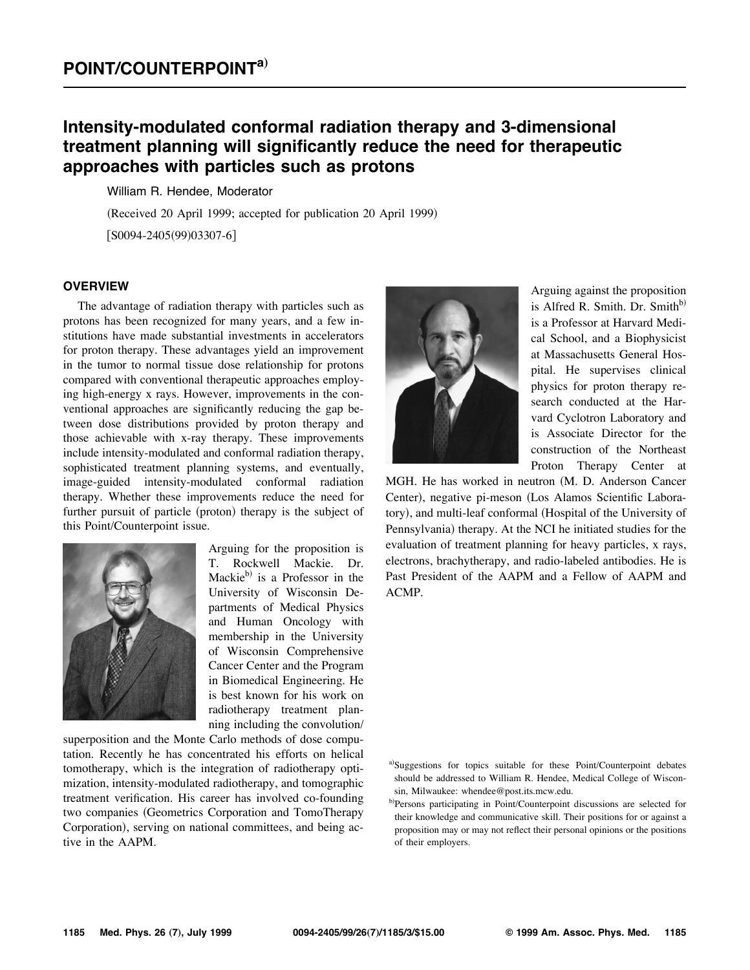# **Intensity-modulated conformal radiation therapy and 3-dimensional treatment planning will significantly reduce the need for therapeutic approaches with particles such as protons**

William R. Hendee, Moderator

(Received 20 April 1999; accepted for publication 20 April 1999)  $[SO094-2405(99)03307-6]$ 

### **OVERVIEW**

The advantage of radiation therapy with particles such as protons has been recognized for many years, and a few institutions have made substantial investments in accelerators for proton therapy. These advantages yield an improvement in the tumor to normal tissue dose relationship for protons compared with conventional therapeutic approaches employing high-energy x rays. However, improvements in the conventional approaches are significantly reducing the gap between dose distributions provided by proton therapy and those achievable with x-ray therapy. These improvements include intensity-modulated and conformal radiation therapy, sophisticated treatment planning systems, and eventually, image-guided intensity-modulated conformal radiation therapy. Whether these improvements reduce the need for further pursuit of particle (proton) therapy is the subject of this Point/Counterpoint issue.



Arguing for the proposition is T. Rockwell Mackie. Dr. Mackie $\rm^{b)}$  is a Professor in the University of Wisconsin Departments of Medical Physics and Human Oncology with membership in the University of Wisconsin Comprehensive Cancer Center and the Program in Biomedical Engineering. He is best known for his work on radiotherapy treatment planning including the convolution/

superposition and the Monte Carlo methods of dose computation. Recently he has concentrated his efforts on helical tomotherapy, which is the integration of radiotherapy optimization, intensity-modulated radiotherapy, and tomographic treatment verification. His career has involved co-founding two companies (Geometrics Corporation and TomoTherapy Corporation), serving on national committees, and being active in the AAPM.



Arguing against the proposition is Alfred R. Smith. Dr. Smith $b$ ) is a Professor at Harvard Medical School, and a Biophysicist at Massachusetts General Hospital. He supervises clinical physics for proton therapy research conducted at the Harvard Cyclotron Laboratory and is Associate Director for the construction of the Northeast Proton Therapy Center at

MGH. He has worked in neutron (M. D. Anderson Cancer Center), negative pi-meson (Los Alamos Scientific Laboratory), and multi-leaf conformal (Hospital of the University of Pennsylvania) therapy. At the NCI he initiated studies for the evaluation of treatment planning for heavy particles, x rays, electrons, brachytherapy, and radio-labeled antibodies. He is Past President of the AAPM and a Fellow of AAPM and ACMP.

a)Suggestions for topics suitable for these Point/Counterpoint debates should be addressed to William R. Hendee, Medical College of Wisconsin, Milwaukee: whendee@post.its.mcw.edu.

<sup>&</sup>lt;sup>b)</sup>Persons participating in Point/Counterpoint discussions are selected for their knowledge and communicative skill. Their positions for or against a proposition may or may not reflect their personal opinions or the positions of their employers.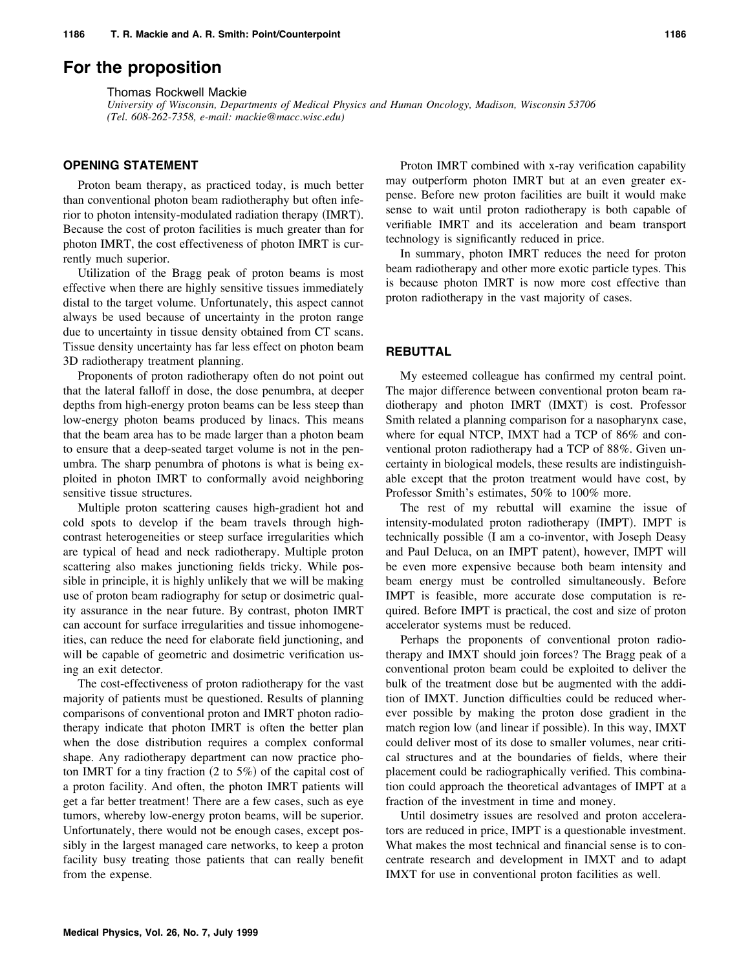## **For the proposition**

Thomas Rockwell Mackie

*University of Wisconsin, Departments of Medical Physics and Human Oncology, Madison, Wisconsin 53706 (Tel. 608-262-7358, e-mail: mackie@macc.wisc.edu)*

## **OPENING STATEMENT**

Proton beam therapy, as practiced today, is much better than conventional photon beam radiotheraphy but often inferior to photon intensity-modulated radiation therapy (IMRT). Because the cost of proton facilities is much greater than for photon IMRT, the cost effectiveness of photon IMRT is currently much superior.

Utilization of the Bragg peak of proton beams is most effective when there are highly sensitive tissues immediately distal to the target volume. Unfortunately, this aspect cannot always be used because of uncertainty in the proton range due to uncertainty in tissue density obtained from CT scans. Tissue density uncertainty has far less effect on photon beam 3D radiotherapy treatment planning.

Proponents of proton radiotherapy often do not point out that the lateral falloff in dose, the dose penumbra, at deeper depths from high-energy proton beams can be less steep than low-energy photon beams produced by linacs. This means that the beam area has to be made larger than a photon beam to ensure that a deep-seated target volume is not in the penumbra. The sharp penumbra of photons is what is being exploited in photon IMRT to conformally avoid neighboring sensitive tissue structures.

Multiple proton scattering causes high-gradient hot and cold spots to develop if the beam travels through highcontrast heterogeneities or steep surface irregularities which are typical of head and neck radiotherapy. Multiple proton scattering also makes junctioning fields tricky. While possible in principle, it is highly unlikely that we will be making use of proton beam radiography for setup or dosimetric quality assurance in the near future. By contrast, photon IMRT can account for surface irregularities and tissue inhomogeneities, can reduce the need for elaborate field junctioning, and will be capable of geometric and dosimetric verification using an exit detector.

The cost-effectiveness of proton radiotherapy for the vast majority of patients must be questioned. Results of planning comparisons of conventional proton and IMRT photon radiotherapy indicate that photon IMRT is often the better plan when the dose distribution requires a complex conformal shape. Any radiotherapy department can now practice photon IMRT for a tiny fraction  $(2 \text{ to } 5\%)$  of the capital cost of a proton facility. And often, the photon IMRT patients will get a far better treatment! There are a few cases, such as eye tumors, whereby low-energy proton beams, will be superior. Unfortunately, there would not be enough cases, except possibly in the largest managed care networks, to keep a proton facility busy treating those patients that can really benefit from the expense.

Proton IMRT combined with x-ray verification capability may outperform photon IMRT but at an even greater expense. Before new proton facilities are built it would make sense to wait until proton radiotherapy is both capable of verifiable IMRT and its acceleration and beam transport technology is significantly reduced in price.

In summary, photon IMRT reduces the need for proton beam radiotherapy and other more exotic particle types. This is because photon IMRT is now more cost effective than proton radiotherapy in the vast majority of cases.

#### **REBUTTAL**

My esteemed colleague has confirmed my central point. The major difference between conventional proton beam radiotherapy and photon IMRT (IMXT) is cost. Professor Smith related a planning comparison for a nasopharynx case, where for equal NTCP, IMXT had a TCP of 86% and conventional proton radiotherapy had a TCP of 88%. Given uncertainty in biological models, these results are indistinguishable except that the proton treatment would have cost, by Professor Smith's estimates, 50% to 100% more.

The rest of my rebuttal will examine the issue of intensity-modulated proton radiotherapy (IMPT). IMPT is technically possible (I am a co-inventor, with Joseph Deasy and Paul Deluca, on an IMPT patent), however, IMPT will be even more expensive because both beam intensity and beam energy must be controlled simultaneously. Before IMPT is feasible, more accurate dose computation is required. Before IMPT is practical, the cost and size of proton accelerator systems must be reduced.

Perhaps the proponents of conventional proton radiotherapy and IMXT should join forces? The Bragg peak of a conventional proton beam could be exploited to deliver the bulk of the treatment dose but be augmented with the addition of IMXT. Junction difficulties could be reduced wherever possible by making the proton dose gradient in the match region low (and linear if possible). In this way, IMXT could deliver most of its dose to smaller volumes, near critical structures and at the boundaries of fields, where their placement could be radiographically verified. This combination could approach the theoretical advantages of IMPT at a fraction of the investment in time and money.

Until dosimetry issues are resolved and proton accelerators are reduced in price, IMPT is a questionable investment. What makes the most technical and financial sense is to concentrate research and development in IMXT and to adapt IMXT for use in conventional proton facilities as well.